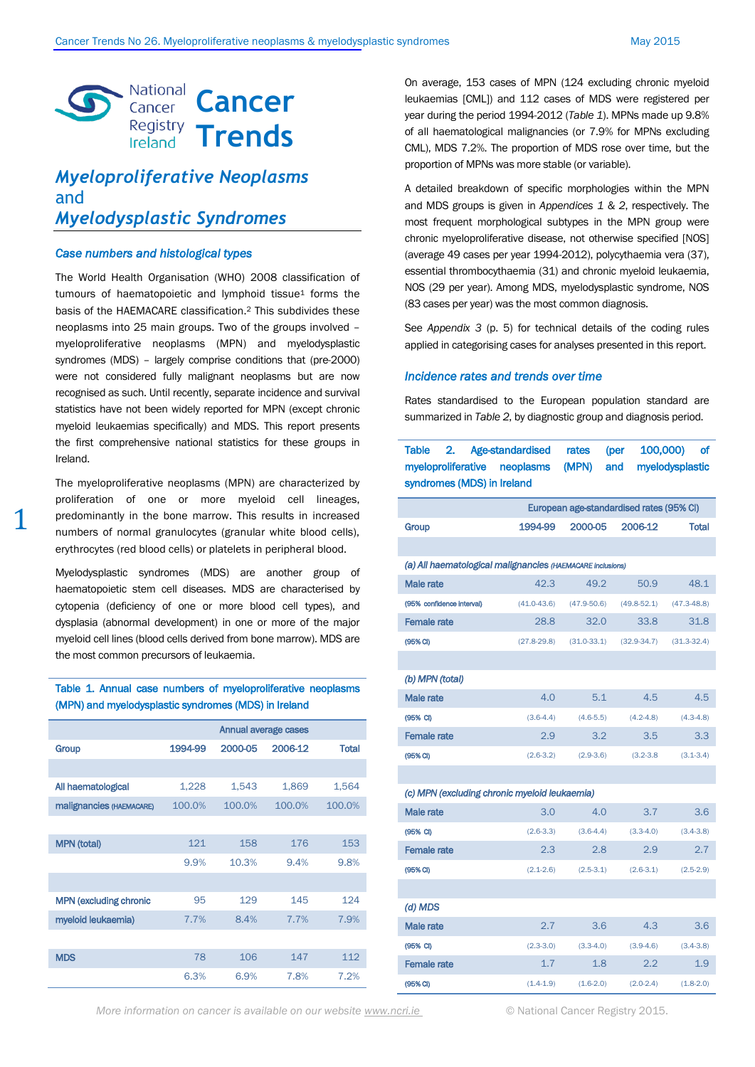

# *Myeloproliferative Neoplasms* and *Myelodysplastic Syndromes*

#### *Case numbers and histological types*

1

The World Health Organisation (WHO) 2008 classification of tumours of haematopoietic and lymphoid tissue<sup>1</sup> forms the basis of the HAEMACARE classification. <sup>2</sup> This subdivides these neoplasms into 25 main groups. Two of the groups involved – myeloproliferative neoplasms (MPN) and myelodysplastic syndromes (MDS) – largely comprise conditions that (pre-2000) were not considered fully malignant neoplasms but are now recognised as such. Until recently, separate incidence and survival statistics have not been widely reported for MPN (except chronic myeloid leukaemias specifically) and MDS. This report presents the first comprehensive national statistics for these groups in Ireland.

The myeloproliferative neoplasms (MPN) are characterized by proliferation of one or more myeloid cell lineages, predominantly in the bone marrow. This results in increased numbers of normal granulocytes (granular white blood cells), erythrocytes (red blood cells) or platelets in peripheral blood.

Myelodysplastic syndromes (MDS) are another group of haematopoietic stem cell diseases. MDS are characterised by cytopenia (deficiency of one or more blood cell types), and dysplasia (abnormal development) in one or more of the major myeloid cell lines (blood cells derived from bone marrow). MDS are the most common precursors of leukaemia.

## Table 1. Annual case numbers of myeloproliferative neoplasms (MPN) and myelodysplastic syndromes (MDS) in Ireland

|                               | Annual average cases |         |         |              |  |
|-------------------------------|----------------------|---------|---------|--------------|--|
| Group                         | 1994-99              | 2000-05 | 2006-12 | <b>Total</b> |  |
|                               |                      |         |         |              |  |
| All haematological            | 1,228                | 1,543   | 1,869   | 1,564        |  |
| malignancies (HAEMACARE)      | 100.0%               | 100.0%  | 100.0%  | 100.0%       |  |
|                               |                      |         |         |              |  |
| <b>MPN</b> (total)            | 121                  | 158     | 176     | 153          |  |
|                               | 9.9%                 | 10.3%   | 9.4%    | 9.8%         |  |
|                               |                      |         |         |              |  |
| <b>MPN (excluding chronic</b> | 95                   | 129     | 145     | 124          |  |
| myeloid leukaemia)            | 7.7%                 | 8.4%    | 7.7%    | 7.9%         |  |
|                               |                      |         |         |              |  |
| <b>MDS</b>                    | 78                   | 106     | 147     | 112          |  |
|                               | 6.3%                 | 6.9%    | 7.8%    | 7.2%         |  |

On average, 153 cases of MPN (124 excluding chronic myeloid leukaemias [CML]) and 112 cases of MDS were registered per year during the period 1994-2012 (*Table 1*). MPNs made up 9.8% of all haematological malignancies (or 7.9% for MPNs excluding CML), MDS 7.2%. The proportion of MDS rose over time, but the proportion of MPNs was more stable (or variable).

A detailed breakdown of specific morphologies within the MPN and MDS groups is given in *Appendices 1* & *2*, respectively. The most frequent morphological subtypes in the MPN group were chronic myeloproliferative disease, not otherwise specified [NOS] (average 49 cases per year 1994-2012), polycythaemia vera (37), essential thrombocythaemia (31) and chronic myeloid leukaemia, NOS (29 per year). Among MDS, myelodysplastic syndrome, NOS (83 cases per year) was the most common diagnosis.

See *Appendix 3* (p. 5) for technical details of the coding rules applied in categorising cases for analyses presented in this report.

#### *Incidence rates and trends over time*

Rates standardised to the European population standard are summarized in *Table 2*, by diagnostic group and diagnosis period.

Table 2. Age-standardised rates (per 100,000) of

| myeloproliferative neoplasms (MPN)<br>myelodysplastic<br>and<br>syndromes (MDS) in Ireland |                 |                 |                 |                 |  |  |
|--------------------------------------------------------------------------------------------|-----------------|-----------------|-----------------|-----------------|--|--|
| European age-standardised rates (95% CI)                                                   |                 |                 |                 |                 |  |  |
| Group                                                                                      | 1994-99         | 2000-05         | 2006-12         | <b>Total</b>    |  |  |
|                                                                                            |                 |                 |                 |                 |  |  |
| (a) All haematological malignancies (HAEMACARE inclusions)                                 |                 |                 |                 |                 |  |  |
| Male rate                                                                                  | 42.3            | 49.2            | 50.9            | 48.1            |  |  |
| (95% confidence interval)                                                                  | $(41.0 - 43.6)$ | $(47.9 - 50.6)$ | $(49.8 - 52.1)$ | $(47.3 - 48.8)$ |  |  |
| <b>Female rate</b>                                                                         | 28.8            | 32.0            | 33.8            | 31.8            |  |  |
| (95% CI)                                                                                   | $(27.8 - 29.8)$ | $(31.0 - 33.1)$ | $(32.9 - 34.7)$ | $(31.3 - 32.4)$ |  |  |
|                                                                                            |                 |                 |                 |                 |  |  |
| (b) MPN (total)                                                                            |                 |                 |                 |                 |  |  |
| Male rate                                                                                  | 4.0             | 5.1             | 4.5             | 4.5             |  |  |
| (95% CI)                                                                                   | $(3.6-4.4)$     | $(4.6-5.5)$     | $(4.2 - 4.8)$   | $(4.3 - 4.8)$   |  |  |
| <b>Female rate</b>                                                                         | 2.9             | 3.2             | 3.5             | 3.3             |  |  |
| (95% <sup>C</sup> )                                                                        | $(2.6-3.2)$     | $(2.9-3.6)$     | $(3.2 - 3.8)$   | $(3.1 - 3.4)$   |  |  |
|                                                                                            |                 |                 |                 |                 |  |  |
| (c) MPN (excluding chronic myeloid leukaemia)                                              |                 |                 |                 |                 |  |  |
| Male rate                                                                                  | 3.0             | 4.0             | 3.7             | 3.6             |  |  |
| (95% CI)                                                                                   | $(2.6-3.3)$     | $(3.6-4.4)$     | $(3.3-4.0)$     | $(3.4 - 3.8)$   |  |  |
| <b>Female rate</b>                                                                         | 2.3             | 2.8             | 2.9             | 2.7             |  |  |
| (95% CI)                                                                                   | $(2.1 - 2.6)$   | $(2.5-3.1)$     | $(2.6-3.1)$     | $(2.5-2.9)$     |  |  |
|                                                                                            |                 |                 |                 |                 |  |  |
| $(d)$ MDS                                                                                  |                 |                 |                 |                 |  |  |
| Male rate                                                                                  | 2.7             | 3.6             | 4.3             | 3.6             |  |  |
| (95% CI)                                                                                   | $(2.3-3.0)$     | $(3.3-4.0)$     | $(3.9-4.6)$     | $(3.4 - 3.8)$   |  |  |
| <b>Female</b> rate                                                                         | 1.7             | 1.8             | 2.2             | 1.9             |  |  |
| (95% CI)                                                                                   | $(1.4 - 1.9)$   | $(1.6-2.0)$     | $(2.0-2.4)$     | $(1.8-2.0)$     |  |  |

*More information on cancer is available on our websit[e www.ncri.ie](http://www.ncri.ie/)* © National Cancer Registry 2015.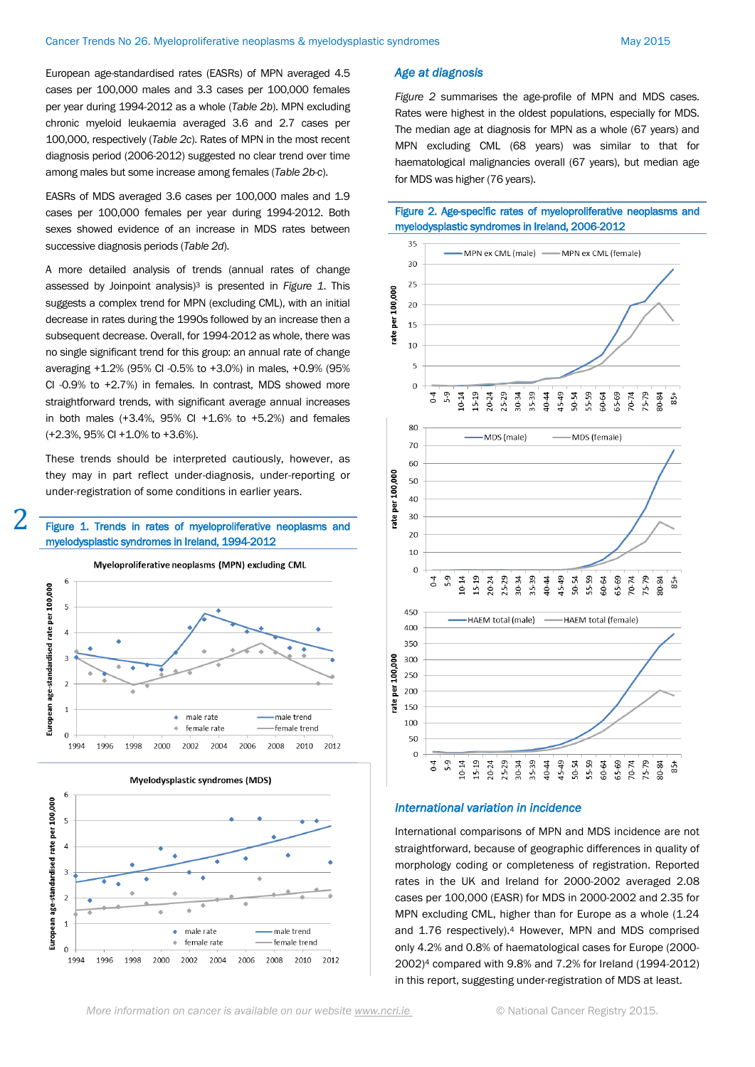European age-standardised rates (EASRs) of MPN averaged 4.5 cases per 100,000 males and 3.3 cases per 100,000 females per year during 1994-2012 as a whole (*Table 2b*). MPN excluding chronic myeloid leukaemia averaged 3.6 and 2.7 cases per 100,000, respectively (*Table 2c*). Rates of MPN in the most recent diagnosis period (2006-2012) suggested no clear trend over time among males but some increase among females (*Table 2b-c*).

EASRs of MDS averaged 3.6 cases per 100,000 males and 1.9 cases per 100,000 females per year during 1994-2012. Both sexes showed evidence of an increase in MDS rates between successive diagnosis periods (*Table 2d*).

A more detailed analysis of trends (annual rates of change assessed by Joinpoint analysis)<sup>3</sup> is presented in *Figure 1*. This suggests a complex trend for MPN (excluding CML), with an initial decrease in rates during the 1990s followed by an increase then a subsequent decrease. Overall, for 1994-2012 as whole, there was no single significant trend for this group: an annual rate of change averaging +1.2% (95% CI -0.5% to +3.0%) in males, +0.9% (95% CI -0.9% to +2.7%) in females. In contrast, MDS showed more straightforward trends, with significant average annual increases in both males  $(+3.4\%, 95\% \text{ Cl } +1.6\% \text{ to } +5.2\%)$  and females (+2.3%, 95% CI +1.0% to +3.6%).

These trends should be interpreted cautiously, however, as they may in part reflect under-diagnosis, under-reporting or under-registration of some conditions in earlier years.



## Figure 1. Trends in rates of myeloproliferative neoplasms and myelodysplastic syndromes in Ireland, 1994-2012





## *Age at diagnosis*

*Figure 2* summarises the age-profile of MPN and MDS cases. Rates were highest in the oldest populations, especially for MDS. The median age at diagnosis for MPN as a whole (67 years) and MPN excluding CML (68 years) was similar to that for haematological malignancies overall (67 years), but median age for MDS was higher (76 years).

## Figure 2. Age-specific rates of myeloproliferative neoplasms and myelodysplastic syndromes in Ireland, 2006-2012



### *International variation in incidence*

International comparisons of MPN and MDS incidence are not straightforward, because of geographic differences in quality of morphology coding or completeness of registration. Reported rates in the UK and Ireland for 2000-2002 averaged 2.08 cases per 100,000 (EASR) for MDS in 2000-2002 and 2.35 for MPN excluding CML, higher than for Europe as a whole (1.24 and 1.76 respectively).<sup>4</sup> However, MPN and MDS comprised only 4.2% and 0.8% of haematological cases for Europe (2000- 2002)<sup>4</sup> compared with 9.8% and 7.2% for Ireland (1994-2012) in this report, suggesting under-registration of MDS at least.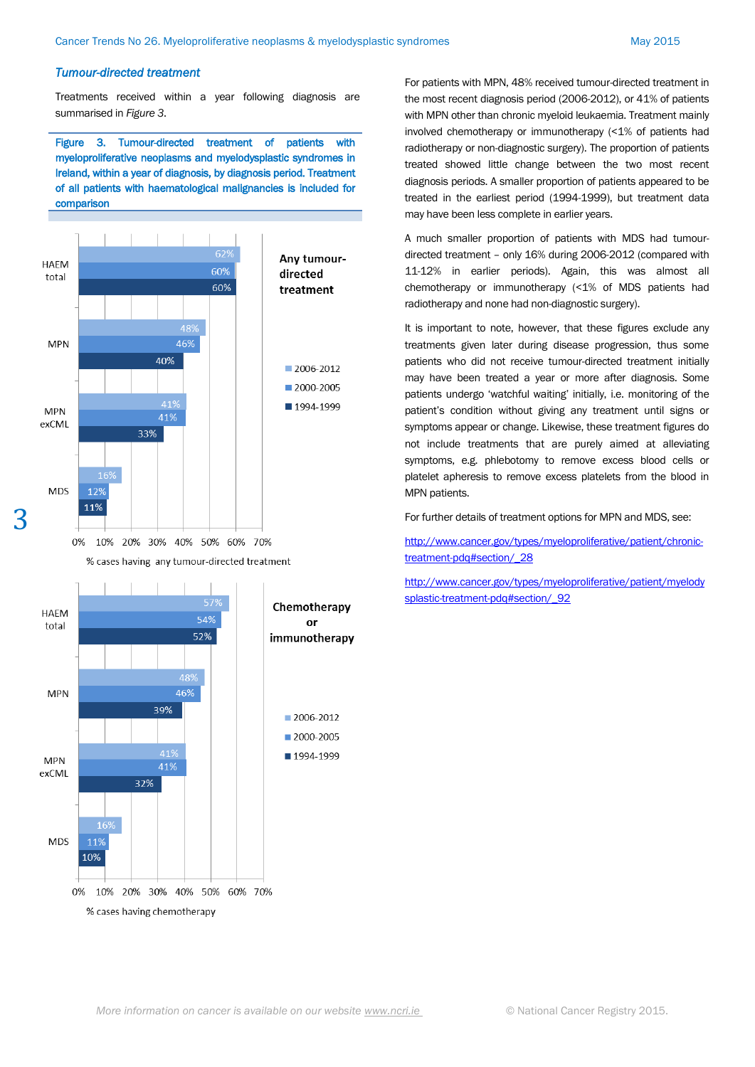#### *Tumour-directed treatment*

Treatments received within a year following diagnosis are summarised in *Figure 3*.

Figure 3. Tumour-directed treatment of patients with myeloproliferative neoplasms and myelodysplastic syndromes in Ireland, within a year of diagnosis, by diagnosis period. Treatment of all patients with haematological malignancies is included for comparison



% cases having any tumour-directed treatment

3



For patients with MPN, 48% received tumour-directed treatment in the most recent diagnosis period (2006-2012), or 41% of patients with MPN other than chronic myeloid leukaemia. Treatment mainly involved chemotherapy or immunotherapy (<1% of patients had radiotherapy or non-diagnostic surgery). The proportion of patients treated showed little change between the two most recent diagnosis periods. A smaller proportion of patients appeared to be treated in the earliest period (1994-1999), but treatment data may have been less complete in earlier years.

A much smaller proportion of patients with MDS had tumourdirected treatment – only 16% during 2006-2012 (compared with 11-12% in earlier periods). Again, this was almost all chemotherapy or immunotherapy (<1% of MDS patients had radiotherapy and none had non-diagnostic surgery).

It is important to note, however, that these figures exclude any treatments given later during disease progression, thus some patients who did not receive tumour-directed treatment initially may have been treated a year or more after diagnosis. Some patients undergo 'watchful waiting' initially, i.e. monitoring of the patient's condition without giving any treatment until signs or symptoms appear or change. Likewise, these treatment figures do not include treatments that are purely aimed at alleviating symptoms, e.g. phlebotomy to remove excess blood cells or platelet apheresis to remove excess platelets from the blood in MPN patients.

For further details of treatment options for MPN and MDS, see:

[http://www.cancer.gov/types/myeloproliferative/patient/chronic](http://www.cancer.gov/types/myeloproliferative/patient/chronic-treatment-pdq#section/_28)[treatment-pdq#section/\\_28](http://www.cancer.gov/types/myeloproliferative/patient/chronic-treatment-pdq#section/_28)

[http://www.cancer.gov/types/myeloproliferative/patient/myelody](http://www.cancer.gov/types/myeloproliferative/patient/myelodysplastic-treatment-pdq#section/_92) splastic-treatment-pdq#section/ 92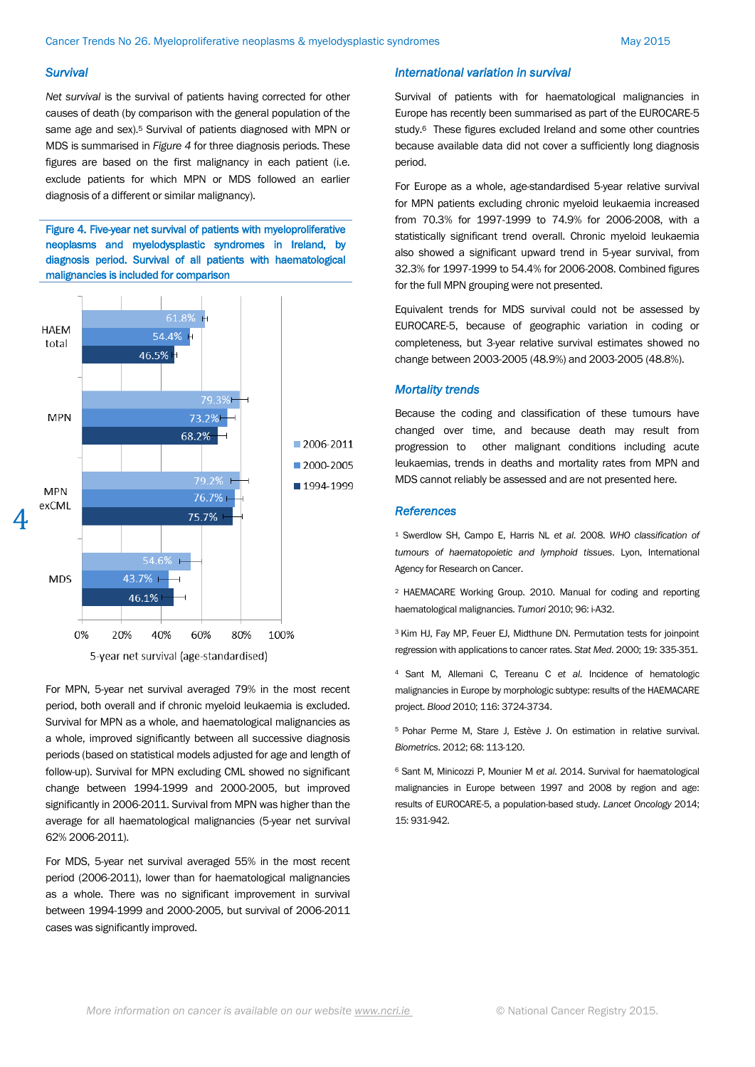#### *Survival*

*Net survival* is the survival of patients having corrected for other causes of death (by comparison with the general population of the same age and sex).<sup>5</sup> Survival of patients diagnosed with MPN or MDS is summarised in *Figure 4* for three diagnosis periods. These figures are based on the first malignancy in each patient (i.e. exclude patients for which MPN or MDS followed an earlier diagnosis of a different or similar malignancy).

Figure 4. Five-year net survival of patients with myeloproliferative neoplasms and myelodysplastic syndromes in Ireland, by diagnosis period. Survival of all patients with haematological malignancies is included for comparison



For MPN, 5-year net survival averaged 79% in the most recent period, both overall and if chronic myeloid leukaemia is excluded. Survival for MPN as a whole, and haematological malignancies as a whole, improved significantly between all successive diagnosis periods (based on statistical models adjusted for age and length of follow-up). Survival for MPN excluding CML showed no significant change between 1994-1999 and 2000-2005, but improved significantly in 2006-2011. Survival from MPN was higher than the average for all haematological malignancies (5-year net survival 62% 2006-2011).

For MDS, 5-year net survival averaged 55% in the most recent period (2006-2011), lower than for haematological malignancies as a whole. There was no significant improvement in survival between 1994-1999 and 2000-2005, but survival of 2006-2011 cases was significantly improved.

## *International variation in survival*

Survival of patients with for haematological malignancies in Europe has recently been summarised as part of the EUROCARE-5 study.6 These figures excluded Ireland and some other countries because available data did not cover a sufficiently long diagnosis period.

For Europe as a whole, age-standardised 5-year relative survival for MPN patients excluding chronic myeloid leukaemia increased from 70.3% for 1997-1999 to 74.9% for 2006-2008, with a statistically significant trend overall. Chronic myeloid leukaemia also showed a significant upward trend in 5-year survival, from 32.3% for 1997-1999 to 54.4% for 2006-2008. Combined figures for the full MPN grouping were not presented.

Equivalent trends for MDS survival could not be assessed by EUROCARE-5, because of geographic variation in coding or completeness, but 3-year relative survival estimates showed no change between 2003-2005 (48.9%) and 2003-2005 (48.8%).

### *Mortality trends*

Because the coding and classification of these tumours have changed over time, and because death may result from progression to other malignant conditions including acute leukaemias, trends in deaths and mortality rates from MPN and MDS cannot reliably be assessed and are not presented here.

#### *References*

<sup>1</sup> Swerdlow SH, Campo E, Harris NL *et al*. 2008. *WHO classification of tumours of haematopoietic and lymphoid tissues*. Lyon, International Agency for Research on Cancer.

<sup>2</sup> HAEMACARE Working Group. 2010. Manual for coding and reporting haematological malignancies. *Tumori* 2010; 96: i-A32.

<sup>3</sup>Kim HJ, Fay MP, Feuer EJ, Midthune DN. Permutation tests for joinpoint regression with applications to cancer rates. *Stat Med*. 2000; 19: 335-351.

<sup>4</sup> Sant M, Allemani C, Tereanu C *et al*. Incidence of hematologic malignancies in Europe by morphologic subtype: results of the HAEMACARE project. *Blood* 2010; 116: 3724-3734.

<sup>5</sup> Pohar Perme M, Stare J, Estève J. On estimation in relative survival. *Biometrics*. 2012; 68: 113-120.

<sup>6</sup> Sant M, Minicozzi P, Mounier M *et al*. 2014. Survival for haematological malignancies in Europe between 1997 and 2008 by region and age: results of EUROCARE-5, a population-based study. *Lancet Oncology* 2014; 15: 931-942.